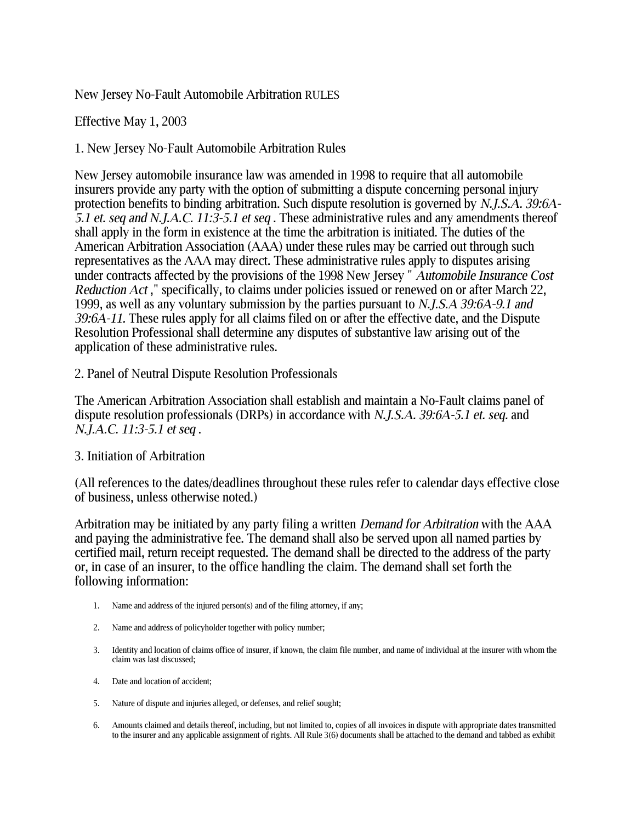New Jersey No-Fault Automobile Arbitration RULES

Effective May 1, 2003

1. New Jersey No-Fault Automobile Arbitration Rules

New Jersey automobile insurance law was amended in 1998 to require that all automobile insurers provide any party with the option of submitting a dispute concerning personal injury protection benefits to binding arbitration. Such dispute resolution is governed by *N.J.S.A. 39:6A-5.1 et. seq and N.J.A.C. 11:3-5.1 et seq* . These administrative rules and any amendments thereof shall apply in the form in existence at the time the arbitration is initiated. The duties of the American Arbitration Association (AAA) under these rules may be carried out through such representatives as the AAA may direct. These administrative rules apply to disputes arising under contracts affected by the provisions of the 1998 New Jersey " *Automobile Insurance Cost Reduction Act* ," specifically, to claims under policies issued or renewed on or after March 22, 1999, as well as any voluntary submission by the parties pursuant to *N.J.S.A 39:6A-9.1 and 39:6A-11.* These rules apply for all claims filed on or after the effective date, and the Dispute Resolution Professional shall determine any disputes of substantive law arising out of the application of these administrative rules.

### 2. Panel of Neutral Dispute Resolution Professionals

The American Arbitration Association shall establish and maintain a No-Fault claims panel of dispute resolution professionals (DRPs) in accordance with *N.J.S.A. 39:6A-5.1 et. seq.* and *N.J.A.C. 11:3-5.1 et seq* .

### 3. Initiation of Arbitration

(All references to the dates/deadlines throughout these rules refer to calendar days effective close of business, unless otherwise noted.)

Arbitration may be initiated by any party filing a written *Demand for Arbitration* with the AAA and paying the administrative fee. The demand shall also be served upon all named parties by certified mail, return receipt requested. The demand shall be directed to the address of the party or, in case of an insurer, to the office handling the claim. The demand shall set forth the following information:

- 1. Name and address of the injured person(s) and of the filing attorney, if any;
- 2. Name and address of policyholder together with policy number;
- 3. Identity and location of claims office of insurer, if known, the claim file number, and name of individual at the insurer with whom the claim was last discussed;
- 4. Date and location of accident;
- 5. Nature of dispute and injuries alleged, or defenses, and relief sought;
- 6. Amounts claimed and details thereof, including, but not limited to, copies of all invoices in dispute with appropriate dates transmitted to the insurer and any applicable assignment of rights. All Rule 3(6) documents shall be attached to the demand and tabbed as exhibit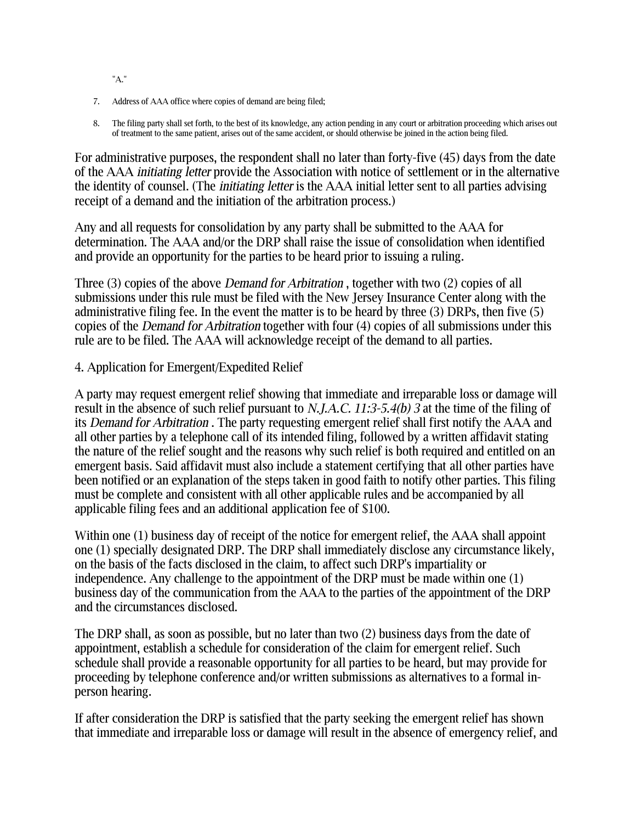"A."

- 7. Address of AAA office where copies of demand are being filed;
- 8. The filing party shall set forth, to the best of its knowledge, any action pending in any court or arbitration proceeding which arises out of treatment to the same patient, arises out of the same accident, or should otherwise be joined in the action being filed.

For administrative purposes, the respondent shall no later than forty-five (45) days from the date of the AAA *initiating letter* provide the Association with notice of settlement or in the alternative the identity of counsel. (The *initiating letter* is the AAA initial letter sent to all parties advising receipt of a demand and the initiation of the arbitration process.)

Any and all requests for consolidation by any party shall be submitted to the AAA for determination. The AAA and/or the DRP shall raise the issue of consolidation when identified and provide an opportunity for the parties to be heard prior to issuing a ruling.

Three (3) copies of the above *Demand for Arbitration* , together with two (2) copies of all submissions under this rule must be filed with the New Jersey Insurance Center along with the administrative filing fee. In the event the matter is to be heard by three (3) DRPs, then five (5) copies of the *Demand for Arbitration* together with four (4) copies of all submissions under this rule are to be filed. The AAA will acknowledge receipt of the demand to all parties.

#### 4. Application for Emergent/Expedited Relief

A party may request emergent relief showing that immediate and irreparable loss or damage will result in the absence of such relief pursuant to *N.J.A.C. 11:3-5.4(b) 3* at the time of the filing of its *Demand for Arbitration* . The party requesting emergent relief shall first notify the AAA and all other parties by a telephone call of its intended filing, followed by a written affidavit stating the nature of the relief sought and the reasons why such relief is both required and entitled on an emergent basis. Said affidavit must also include a statement certifying that all other parties have been notified or an explanation of the steps taken in good faith to notify other parties. This filing must be complete and consistent with all other applicable rules and be accompanied by all applicable filing fees and an additional application fee of \$100.

Within one (1) business day of receipt of the notice for emergent relief, the AAA shall appoint one (1) specially designated DRP. The DRP shall immediately disclose any circumstance likely, on the basis of the facts disclosed in the claim, to affect such DRP's impartiality or independence. Any challenge to the appointment of the DRP must be made within one (1) business day of the communication from the AAA to the parties of the appointment of the DRP and the circumstances disclosed.

The DRP shall, as soon as possible, but no later than two (2) business days from the date of appointment, establish a schedule for consideration of the claim for emergent relief. Such schedule shall provide a reasonable opportunity for all parties to be heard, but may provide for proceeding by telephone conference and/or written submissions as alternatives to a formal inperson hearing.

If after consideration the DRP is satisfied that the party seeking the emergent relief has shown that immediate and irreparable loss or damage will result in the absence of emergency relief, and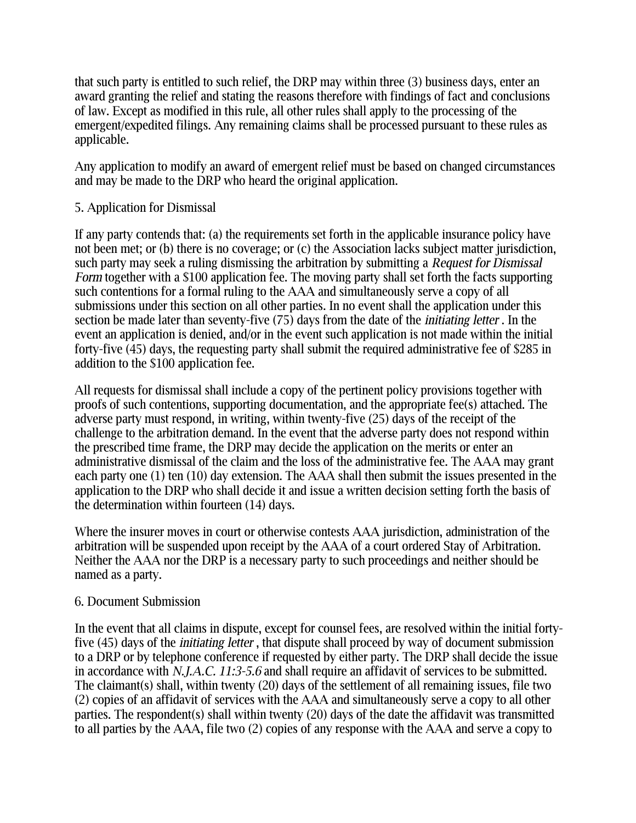that such party is entitled to such relief, the DRP may within three (3) business days, enter an award granting the relief and stating the reasons therefore with findings of fact and conclusions of law. Except as modified in this rule, all other rules shall apply to the processing of the emergent/expedited filings. Any remaining claims shall be processed pursuant to these rules as applicable.

Any application to modify an award of emergent relief must be based on changed circumstances and may be made to the DRP who heard the original application.

### 5. Application for Dismissal

If any party contends that: (a) the requirements set forth in the applicable insurance policy have not been met; or (b) there is no coverage; or (c) the Association lacks subject matter jurisdiction, such party may seek a ruling dismissing the arbitration by submitting a *Request for Dismissal Form* together with a \$100 application fee. The moving party shall set forth the facts supporting such contentions for a formal ruling to the AAA and simultaneously serve a copy of all submissions under this section on all other parties. In no event shall the application under this section be made later than seventy-five (75) days from the date of the *initiating letter* . In the event an application is denied, and/or in the event such application is not made within the initial forty-five (45) days, the requesting party shall submit the required administrative fee of \$285 in addition to the \$100 application fee.

All requests for dismissal shall include a copy of the pertinent policy provisions together with proofs of such contentions, supporting documentation, and the appropriate fee(s) attached. The adverse party must respond, in writing, within twenty-five (25) days of the receipt of the challenge to the arbitration demand. In the event that the adverse party does not respond within the prescribed time frame, the DRP may decide the application on the merits or enter an administrative dismissal of the claim and the loss of the administrative fee. The AAA may grant each party one (1) ten (10) day extension. The AAA shall then submit the issues presented in the application to the DRP who shall decide it and issue a written decision setting forth the basis of the determination within fourteen (14) days.

Where the insurer moves in court or otherwise contests AAA jurisdiction, administration of the arbitration will be suspended upon receipt by the AAA of a court ordered Stay of Arbitration. Neither the AAA nor the DRP is a necessary party to such proceedings and neither should be named as a party.

### 6. Document Submission

In the event that all claims in dispute, except for counsel fees, are resolved within the initial fortyfive (45) days of the *initiating letter* , that dispute shall proceed by way of document submission to a DRP or by telephone conference if requested by either party. The DRP shall decide the issue in accordance with *N.J.A.C. 11:3-5.6* and shall require an affidavit of services to be submitted. The claimant(s) shall, within twenty (20) days of the settlement of all remaining issues, file two (2) copies of an affidavit of services with the AAA and simultaneously serve a copy to all other parties. The respondent(s) shall within twenty (20) days of the date the affidavit was transmitted to all parties by the AAA, file two (2) copies of any response with the AAA and serve a copy to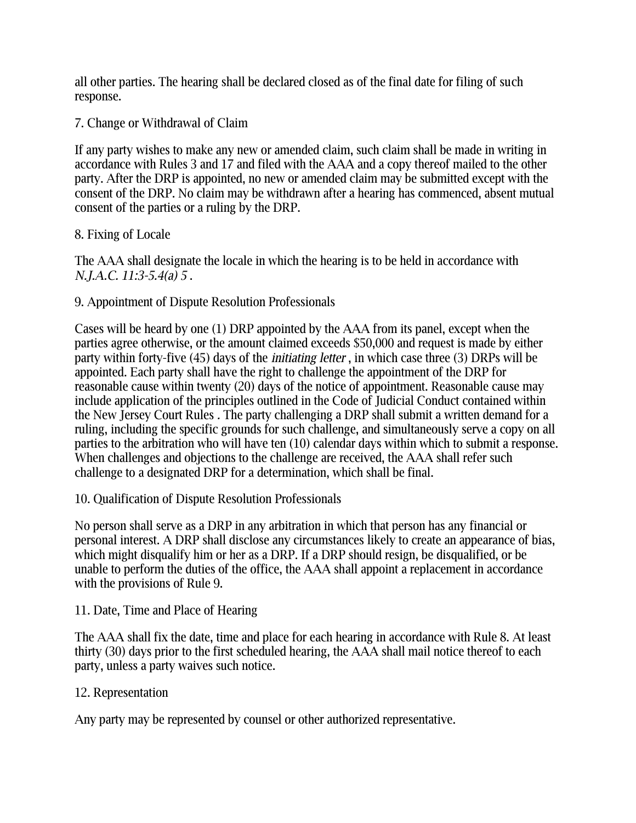all other parties. The hearing shall be declared closed as of the final date for filing of such response.

7. Change or Withdrawal of Claim

If any party wishes to make any new or amended claim, such claim shall be made in writing in accordance with Rules 3 and 17 and filed with the AAA and a copy thereof mailed to the other party. After the DRP is appointed, no new or amended claim may be submitted except with the consent of the DRP. No claim may be withdrawn after a hearing has commenced, absent mutual consent of the parties or a ruling by the DRP.

# 8. Fixing of Locale

The AAA shall designate the locale in which the hearing is to be held in accordance with *N.J.A.C. 11:3-5.4(a) 5* .

# 9. Appointment of Dispute Resolution Professionals

Cases will be heard by one (1) DRP appointed by the AAA from its panel, except when the parties agree otherwise, or the amount claimed exceeds \$50,000 and request is made by either party within forty-five (45) days of the *initiating letter* , in which case three (3) DRPs will be appointed. Each party shall have the right to challenge the appointment of the DRP for reasonable cause within twenty (20) days of the notice of appointment. Reasonable cause may include application of the principles outlined in the Code of Judicial Conduct contained within the New Jersey Court Rules *.* The party challenging a DRP shall submit a written demand for a ruling, including the specific grounds for such challenge, and simultaneously serve a copy on all parties to the arbitration who will have ten (10) calendar days within which to submit a response. When challenges and objections to the challenge are received, the AAA shall refer such challenge to a designated DRP for a determination, which shall be final.

10. Qualification of Dispute Resolution Professionals

No person shall serve as a DRP in any arbitration in which that person has any financial or personal interest. A DRP shall disclose any circumstances likely to create an appearance of bias, which might disqualify him or her as a DRP. If a DRP should resign, be disqualified, or be unable to perform the duties of the office, the AAA shall appoint a replacement in accordance with the provisions of Rule 9.

# 11. Date, Time and Place of Hearing

The AAA shall fix the date, time and place for each hearing in accordance with Rule 8. At least thirty (30) days prior to the first scheduled hearing, the AAA shall mail notice thereof to each party, unless a party waives such notice.

## 12. Representation

Any party may be represented by counsel or other authorized representative.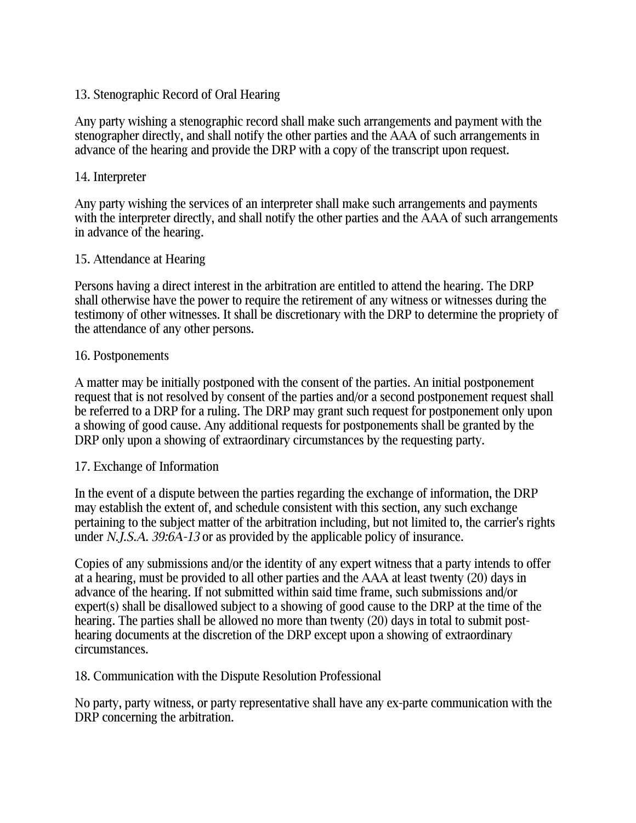### 13. Stenographic Record of Oral Hearing

Any party wishing a stenographic record shall make such arrangements and payment with the stenographer directly, and shall notify the other parties and the AAA of such arrangements in advance of the hearing and provide the DRP with a copy of the transcript upon request.

### 14. Interpreter

Any party wishing the services of an interpreter shall make such arrangements and payments with the interpreter directly, and shall notify the other parties and the AAA of such arrangements in advance of the hearing.

### 15. Attendance at Hearing

Persons having a direct interest in the arbitration are entitled to attend the hearing. The DRP shall otherwise have the power to require the retirement of any witness or witnesses during the testimony of other witnesses. It shall be discretionary with the DRP to determine the propriety of the attendance of any other persons.

### 16. Postponements

A matter may be initially postponed with the consent of the parties. An initial postponement request that is not resolved by consent of the parties and/or a second postponement request shall be referred to a DRP for a ruling. The DRP may grant such request for postponement only upon a showing of good cause. Any additional requests for postponements shall be granted by the DRP only upon a showing of extraordinary circumstances by the requesting party.

### 17. Exchange of Information

In the event of a dispute between the parties regarding the exchange of information, the DRP may establish the extent of, and schedule consistent with this section, any such exchange pertaining to the subject matter of the arbitration including, but not limited to, the carrier's rights under *N.J.S.A. 39:6A-13* or as provided by the applicable policy of insurance.

Copies of any submissions and/or the identity of any expert witness that a party intends to offer at a hearing, must be provided to all other parties and the AAA at least twenty (20) days in advance of the hearing. If not submitted within said time frame, such submissions and/or expert(s) shall be disallowed subject to a showing of good cause to the DRP at the time of the hearing. The parties shall be allowed no more than twenty (20) days in total to submit posthearing documents at the discretion of the DRP except upon a showing of extraordinary circumstances.

### 18. Communication with the Dispute Resolution Professional

No party, party witness, or party representative shall have any ex-parte communication with the DRP concerning the arbitration.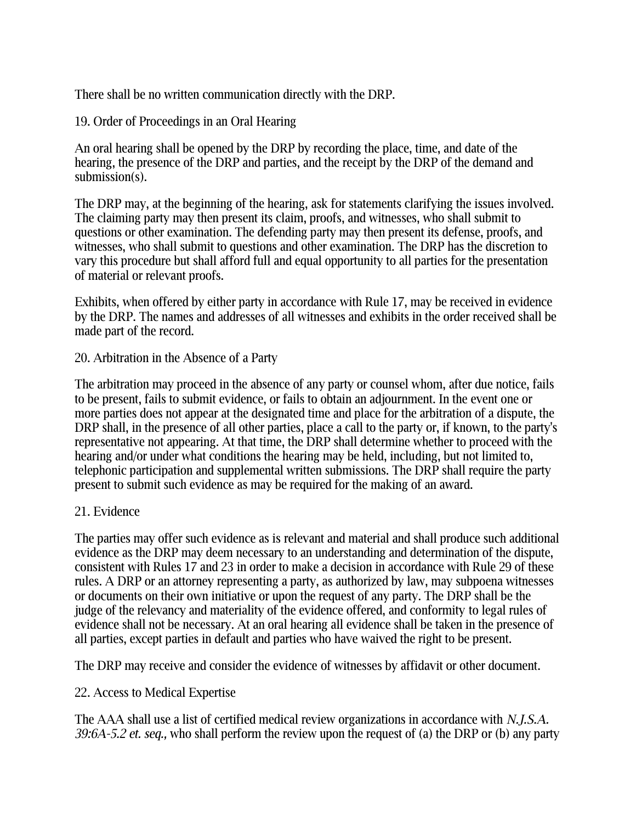There shall be no written communication directly with the DRP.

19. Order of Proceedings in an Oral Hearing

An oral hearing shall be opened by the DRP by recording the place, time, and date of the hearing, the presence of the DRP and parties, and the receipt by the DRP of the demand and submission(s).

The DRP may, at the beginning of the hearing, ask for statements clarifying the issues involved. The claiming party may then present its claim, proofs, and witnesses, who shall submit to questions or other examination. The defending party may then present its defense, proofs, and witnesses, who shall submit to questions and other examination. The DRP has the discretion to vary this procedure but shall afford full and equal opportunity to all parties for the presentation of material or relevant proofs.

Exhibits, when offered by either party in accordance with Rule 17, may be received in evidence by the DRP. The names and addresses of all witnesses and exhibits in the order received shall be made part of the record.

20. Arbitration in the Absence of a Party

The arbitration may proceed in the absence of any party or counsel whom, after due notice, fails to be present, fails to submit evidence, or fails to obtain an adjournment. In the event one or more parties does not appear at the designated time and place for the arbitration of a dispute, the DRP shall, in the presence of all other parties, place a call to the party or, if known, to the party's representative not appearing. At that time, the DRP shall determine whether to proceed with the hearing and/or under what conditions the hearing may be held, including, but not limited to, telephonic participation and supplemental written submissions. The DRP shall require the party present to submit such evidence as may be required for the making of an award.

### 21. Evidence

The parties may offer such evidence as is relevant and material and shall produce such additional evidence as the DRP may deem necessary to an understanding and determination of the dispute, consistent with Rules 17 and 23 in order to make a decision in accordance with Rule 29 of these rules. A DRP or an attorney representing a party, as authorized by law, may subpoena witnesses or documents on their own initiative or upon the request of any party. The DRP shall be the judge of the relevancy and materiality of the evidence offered, and conformity to legal rules of evidence shall not be necessary. At an oral hearing all evidence shall be taken in the presence of all parties, except parties in default and parties who have waived the right to be present.

The DRP may receive and consider the evidence of witnesses by affidavit or other document.

## 22. Access to Medical Expertise

The AAA shall use a list of certified medical review organizations in accordance with *N.J.S.A. 39:6A-5.2 et. seq.,* who shall perform the review upon the request of (a) the DRP or (b) any party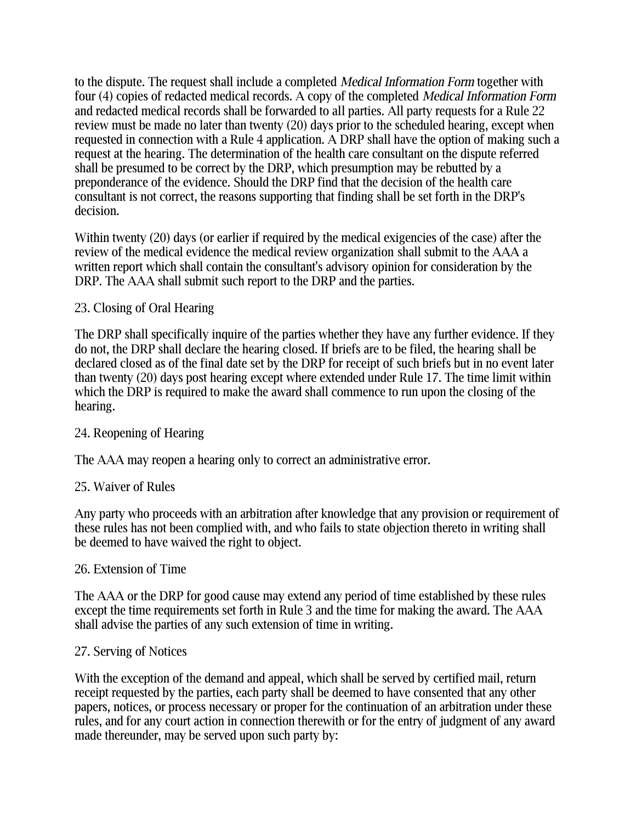to the dispute. The request shall include a completed *Medical Information Form* together with four (4) copies of redacted medical records. A copy of the completed *Medical Information Form* and redacted medical records shall be forwarded to all parties. All party requests for a Rule 22 review must be made no later than twenty (20) days prior to the scheduled hearing, except when requested in connection with a Rule 4 application. A DRP shall have the option of making such a request at the hearing. The determination of the health care consultant on the dispute referred shall be presumed to be correct by the DRP, which presumption may be rebutted by a preponderance of the evidence. Should the DRP find that the decision of the health care consultant is not correct, the reasons supporting that finding shall be set forth in the DRP's decision.

Within twenty (20) days (or earlier if required by the medical exigencies of the case) after the review of the medical evidence the medical review organization shall submit to the AAA a written report which shall contain the consultant's advisory opinion for consideration by the DRP. The AAA shall submit such report to the DRP and the parties.

## 23. Closing of Oral Hearing

The DRP shall specifically inquire of the parties whether they have any further evidence. If they do not, the DRP shall declare the hearing closed. If briefs are to be filed, the hearing shall be declared closed as of the final date set by the DRP for receipt of such briefs but in no event later than twenty (20) days post hearing except where extended under Rule 17. The time limit within which the DRP is required to make the award shall commence to run upon the closing of the hearing.

## 24. Reopening of Hearing

The AAA may reopen a hearing only to correct an administrative error.

### 25. Waiver of Rules

Any party who proceeds with an arbitration after knowledge that any provision or requirement of these rules has not been complied with, and who fails to state objection thereto in writing shall be deemed to have waived the right to object.

### 26. Extension of Time

The AAA or the DRP for good cause may extend any period of time established by these rules except the time requirements set forth in Rule 3 and the time for making the award. The AAA shall advise the parties of any such extension of time in writing.

### 27. Serving of Notices

With the exception of the demand and appeal, which shall be served by certified mail, return receipt requested by the parties, each party shall be deemed to have consented that any other papers, notices, or process necessary or proper for the continuation of an arbitration under these rules, and for any court action in connection therewith or for the entry of judgment of any award made thereunder, may be served upon such party by: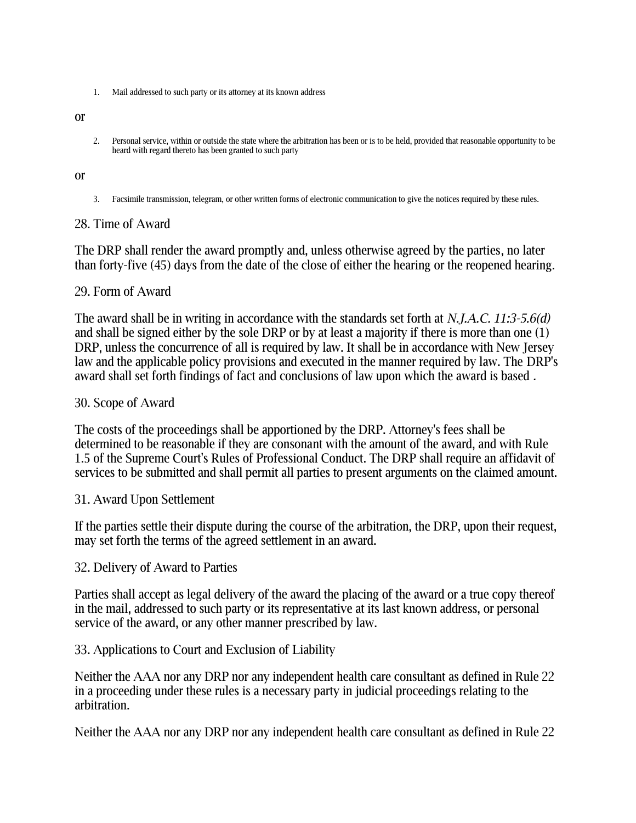1. Mail addressed to such party or its attorney at its known address

or

2. Personal service, within or outside the state where the arbitration has been or is to be held, provided that reasonable opportunity to be heard with regard thereto has been granted to such party

#### or

3. Facsimile transmission, telegram, or other written forms of electronic communication to give the notices required by these rules.

#### 28. Time of Award

The DRP shall render the award promptly and, unless otherwise agreed by the parties, no later than forty-five (45) days from the date of the close of either the hearing or the reopened hearing.

#### 29. Form of Award

The award shall be in writing in accordance with the standards set forth at *N.J.A.C. 11:3-5.6(d)* and shall be signed either by the sole DRP or by at least a majority if there is more than one (1) DRP, unless the concurrence of all is required by law. It shall be in accordance with New Jersey law and the applicable policy provisions and executed in the manner required by law. The DRP's award shall set forth findings of fact and conclusions of law upon which the award is based *.* 

#### 30. Scope of Award

The costs of the proceedings shall be apportioned by the DRP. Attorney's fees shall be determined to be reasonable if they are consonant with the amount of the award, and with Rule 1.5 of the Supreme Court's Rules of Professional Conduct. The DRP shall require an affidavit of services to be submitted and shall permit all parties to present arguments on the claimed amount.

### 31. Award Upon Settlement

If the parties settle their dispute during the course of the arbitration, the DRP, upon their request, may set forth the terms of the agreed settlement in an award.

#### 32. Delivery of Award to Parties

Parties shall accept as legal delivery of the award the placing of the award or a true copy thereof in the mail, addressed to such party or its representative at its last known address, or personal service of the award, or any other manner prescribed by law.

#### 33. Applications to Court and Exclusion of Liability

Neither the AAA nor any DRP nor any independent health care consultant as defined in Rule 22 in a proceeding under these rules is a necessary party in judicial proceedings relating to the arbitration.

Neither the AAA nor any DRP nor any independent health care consultant as defined in Rule 22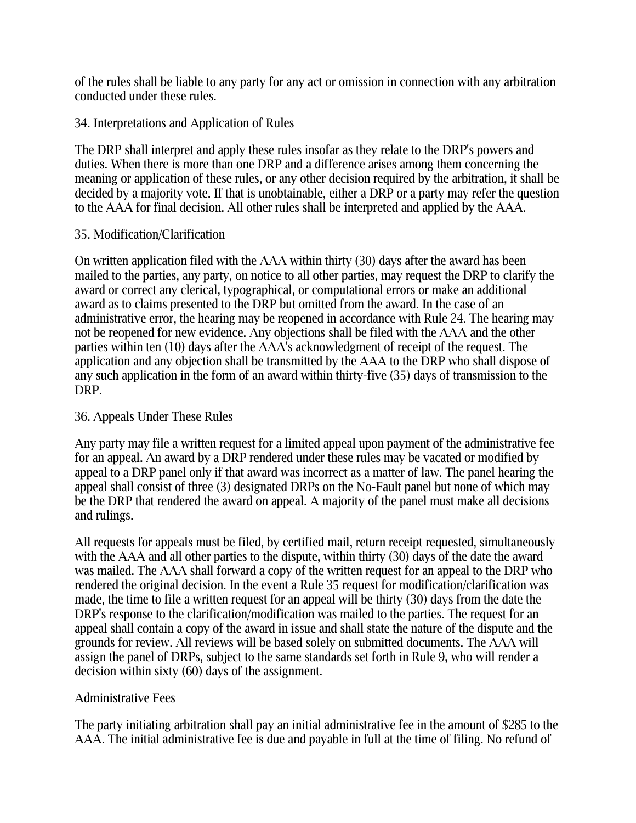of the rules shall be liable to any party for any act or omission in connection with any arbitration conducted under these rules.

### 34. Interpretations and Application of Rules

The DRP shall interpret and apply these rules insofar as they relate to the DRP's powers and duties. When there is more than one DRP and a difference arises among them concerning the meaning or application of these rules, or any other decision required by the arbitration, it shall be decided by a majority vote. If that is unobtainable, either a DRP or a party may refer the question to the AAA for final decision. All other rules shall be interpreted and applied by the AAA.

### 35. Modification/Clarification

On written application filed with the AAA within thirty (30) days after the award has been mailed to the parties, any party, on notice to all other parties, may request the DRP to clarify the award or correct any clerical, typographical, or computational errors or make an additional award as to claims presented to the DRP but omitted from the award. In the case of an administrative error, the hearing may be reopened in accordance with Rule 24. The hearing may not be reopened for new evidence. Any objections shall be filed with the AAA and the other parties within ten (10) days after the AAA's acknowledgment of receipt of the request. The application and any objection shall be transmitted by the AAA to the DRP who shall dispose of any such application in the form of an award within thirty-five (35) days of transmission to the DRP.

### 36. Appeals Under These Rules

Any party may file a written request for a limited appeal upon payment of the administrative fee for an appeal. An award by a DRP rendered under these rules may be vacated or modified by appeal to a DRP panel only if that award was incorrect as a matter of law. The panel hearing the appeal shall consist of three (3) designated DRPs on the No-Fault panel but none of which may be the DRP that rendered the award on appeal. A majority of the panel must make all decisions and rulings.

All requests for appeals must be filed, by certified mail, return receipt requested, simultaneously with the AAA and all other parties to the dispute, within thirty (30) days of the date the award was mailed. The AAA shall forward a copy of the written request for an appeal to the DRP who rendered the original decision. In the event a Rule 35 request for modification/clarification was made, the time to file a written request for an appeal will be thirty (30) days from the date the DRP's response to the clarification/modification was mailed to the parties. The request for an appeal shall contain a copy of the award in issue and shall state the nature of the dispute and the grounds for review. All reviews will be based solely on submitted documents. The AAA will assign the panel of DRPs, subject to the same standards set forth in Rule 9, who will render a decision within sixty (60) days of the assignment.

## Administrative Fees

The party initiating arbitration shall pay an initial administrative fee in the amount of \$285 to the AAA. The initial administrative fee is due and payable in full at the time of filing. No refund of